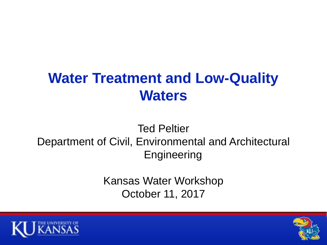# **Water Treatment and Low-Quality Waters**

#### Ted Peltier Department of Civil, Environmental and Architectural **Engineering**

Kansas Water Workshop October 11, 2017



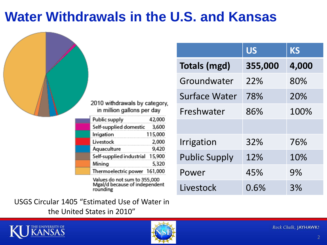## **Water Withdrawals in the U.S. and Kansas**

|  |                                                                           |                      | <b>US</b> | <b>KS</b> |
|--|---------------------------------------------------------------------------|----------------------|-----------|-----------|
|  |                                                                           | <b>Totals (mgd)</b>  | 355,000   | 4,000     |
|  |                                                                           | Groundwater          | 22%       | 80%       |
|  |                                                                           | Surface Water        | 78%       | 20%       |
|  | 2010 withdrawals by category,<br>in million gallons per day               | Freshwater           | 86%       | 100%      |
|  | Public supply<br>42,000<br>Self-supplied domestic<br>3,600                |                      |           |           |
|  | Irrigation<br>115,000<br>Livestock<br>2,000<br>9,420                      | Irrigation           | 32%       | 76%       |
|  | Aquaculture<br>Self-supplied industrial 15,900<br>Mining<br>5,320         | <b>Public Supply</b> | 12%       | 10%       |
|  | Thermoelectric power 161,000                                              | Power                | 45%       | 9%        |
|  | Values do not sum to 355,000<br>Mgal/d because of independent<br>rounding | Livestock            | 0.6%      | 3%        |

USGS Circular 1405 "Estimated Use of Water in the United States in 2010"



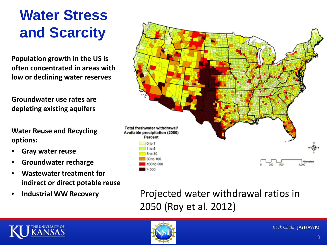# **Water Stress and Scarcity**

**Population growth in the US is often concentrated in areas with low or declining water reserves**

**Groundwater use rates are depleting existing aquifers**

**Water Reuse and Recycling options:**

- **Gray water reuse**
- **Groundwater recharge**
- **Wastewater treatment for indirect or direct potable reuse**
- **Industrial WW Recovery**



#### Projected water withdrawal ratios in 2050 (Roy et al. 2012)



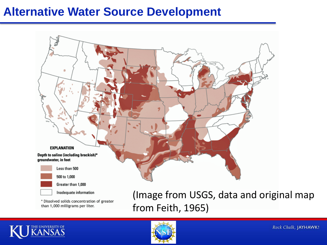#### **Alternative Water Source Development**



\* Dissolved solids concentration of greater than 1,000 milligrams per liter.

(Image from USGS, data and original map from Feith, 1965)



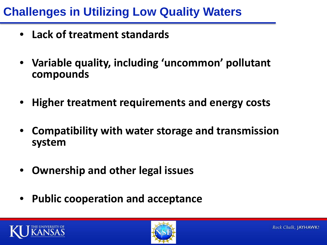## **Challenges in Utilizing Low Quality Waters**

- **Lack of treatment standards**
- **Variable quality, including 'uncommon' pollutant compounds**
- **Higher treatment requirements and energy costs**
- **Compatibility with water storage and transmission system**
- **Ownership and other legal issues**
- **Public cooperation and acceptance**



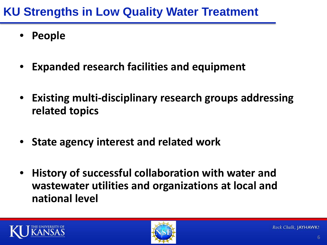### **KU Strengths in Low Quality Water Treatment**

- **People**
- **Expanded research facilities and equipment**
- **Existing multi-disciplinary research groups addressing related topics**
- **State agency interest and related work**
- **History of successful collaboration with water and wastewater utilities and organizations at local and national level**



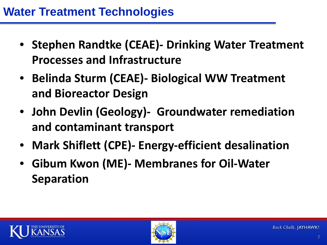- **Stephen Randtke (CEAE)- Drinking Water Treatment Processes and Infrastructure**
- **Belinda Sturm (CEAE)- Biological WW Treatment and Bioreactor Design**
- **John Devlin (Geology)- Groundwater remediation and contaminant transport**
- **Mark Shiflett (CPE)- Energy-efficient desalination**
- **Gibum Kwon (ME)- Membranes for Oil-Water Separation**



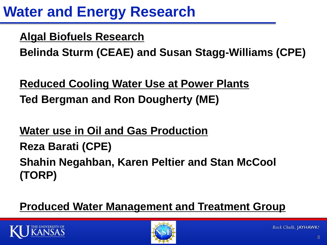# **Water and Energy Research**

**Algal Biofuels Research**

**Belinda Sturm (CEAE) and Susan Stagg-Williams (CPE)**

**Reduced Cooling Water Use at Power Plants Ted Bergman and Ron Dougherty (ME)**

**Water use in Oil and Gas Production Reza Barati (CPE) Shahin Negahban, Karen Peltier and Stan McCool (TORP)**

**Produced Water Management and Treatment Group**



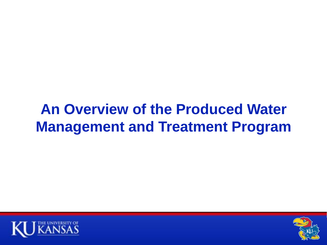## **An Overview of the Produced Water Management and Treatment Program**



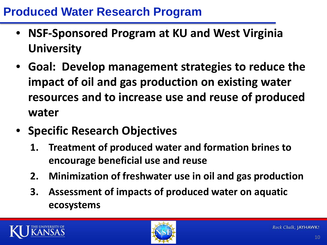#### **Produced Water Research Program**

- **NSF-Sponsored Program at KU and West Virginia University**
- **Goal: Develop management strategies to reduce the impact of oil and gas production on existing water resources and to increase use and reuse of produced water**
- **Specific Research Objectives**
	- **1. Treatment of produced water and formation brines to encourage beneficial use and reuse**
	- **2. Minimization of freshwater use in oil and gas production**
	- **3. Assessment of impacts of produced water on aquatic ecosystems**



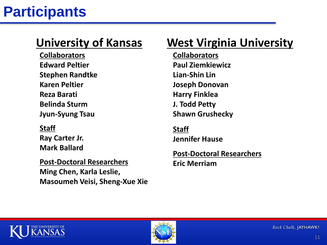**Collaborators Edward Peltier Stephen Randtke Karen Peltier Reza Barati Belinda Sturm Jyun-Syung Tsau**

**Staff Ray Carter Jr. Mark Ballard**

**Post-Doctoral Researchers Ming Chen, Karla Leslie, Masoumeh Veisi, Sheng-Xue Xie**

### **University of Kansas West Virginia University**

**Collaborators Paul Ziemkiewicz Lian-Shin Lin Joseph Donovan Harry Finklea J. Todd Petty Shawn Grushecky**

**Staff Jennifer Hause**

**Post-Doctoral Researchers Eric Merriam**



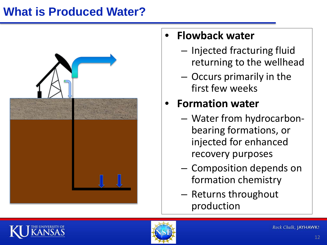### **What is Produced Water?**



#### • **Flowback water**

- Injected fracturing fluid returning to the wellhead
- Occurs primarily in the first few weeks

## • **Formation water**

- Water from hydrocarbonbearing formations, or injected for enhanced recovery purposes
- Composition depends on formation chemistry
- Returns throughout production



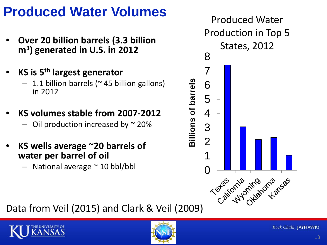## **Produced Water Volumes**

- **Over 20 billion barrels (3.3 billion m3) generated in U.S. in 2012**
- **KS is 5th largest generator**
	- $-1.1$  billion barrels ( $\sim$  45 billion gallons) in 2012
- **KS volumes stable from 2007-2012**  $-$  Oil production increased by  $\sim$  20%
- **KS wells average ~20 barrels of water per barrel of oil**
	- $-$  National average  $\sim$  10 bbl/bbl



Data from Veil (2015) and Clark & Veil (2009)



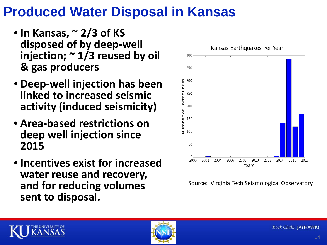## **Produced Water Disposal in Kansas**

- **In Kansas, ~ 2/3 of KS disposed of by deep-well injection; ~ 1/3 reused by oil & gas producers**
- **Deep-well injection has been linked to increased seismic activity (induced seismicity)**
- **Area-based restrictions on deep well injection since 2015**
- **Incentives exist for increased water reuse and recovery, and for reducing volumes sent to disposal.**



Source: Virginia Tech Seismological Observatory



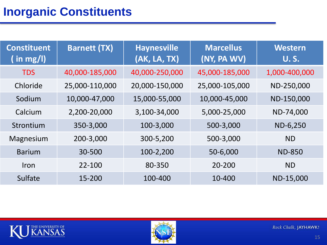#### **Inorganic Constituents**

| <b>Constituent</b><br>$($ in mg/l) | <b>Barnett (TX)</b> | <b>Haynesville</b><br>(AK, LA, TX) | <b>Marcellus</b><br>(NY, PA WV) | Western<br><b>U.S.</b> |
|------------------------------------|---------------------|------------------------------------|---------------------------------|------------------------|
| <b>TDS</b>                         | 40,000-185,000      | 40,000-250,000                     | 45,000-185,000                  | 1,000-400,000          |
| Chloride                           | 25,000-110,000      | 20,000-150,000                     | 25,000-105,000                  | ND-250,000             |
| Sodium                             | 10,000-47,000       | 15,000-55,000                      | 10,000-45,000                   | ND-150,000             |
| Calcium                            | 2,200-20,000        | 3,100-34,000                       | 5,000-25,000                    | ND-74,000              |
| Strontium                          | 350-3,000           | 100-3,000                          | 500-3,000                       | ND-6,250               |
| Magnesium                          | 200-3,000           | 300-5,200                          | 500-3,000                       | <b>ND</b>              |
| <b>Barium</b>                      | 30-500              | 100-2,200                          | 50-6,000                        | <b>ND-850</b>          |
| Iron                               | 22-100              | 80-350                             | 20-200                          | <b>ND</b>              |
| Sulfate                            | 15-200              | 100-400                            | 10-400                          | ND-15,000              |



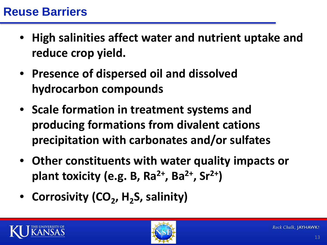- **High salinities affect water and nutrient uptake and reduce crop yield.**
- **Presence of dispersed oil and dissolved hydrocarbon compounds**
- **Scale formation in treatment systems and producing formations from divalent cations precipitation with carbonates and/or sulfates**
- **Other constituents with water quality impacts or plant toxicity (e.g. B, Ra2+, Ba2+, Sr2+)**
- **Corrosivity (CO<sub>2</sub>, H<sub>2</sub>S, salinity)**



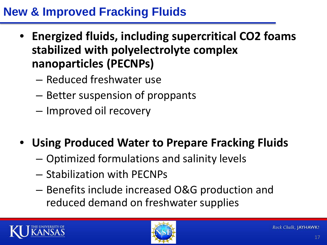#### **New & Improved Fracking Fluids**

- **Energized fluids, including supercritical CO2 foams stabilized with polyelectrolyte complex nanoparticles (PECNPs)**
	- Reduced freshwater use
	- Better suspension of proppants
	- Improved oil recovery
- **Using Produced Water to Prepare Fracking Fluids**
	- Optimized formulations and salinity levels
	- Stabilization with PECNPs
	- Benefits include increased O&G production and reduced demand on freshwater supplies



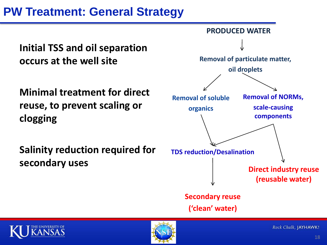#### **PW Treatment: General Strategy**

**Initial TSS and oil separation occurs at the well site**

**Minimal treatment for direct reuse, to prevent scaling or clogging**

**Salinity reduction required for secondary uses**





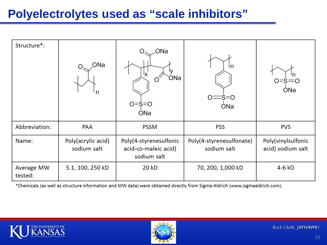#### **Polyelectrolytes used as "scale inhibitors"**

| Structure*:           | ONa<br>n                          | ONa<br>ONa<br>$O = S = O$<br>ONa                              | Jn<br>$=$ s=o<br><b>ONa</b>             | $0 = s = 0$<br>ONa                      |
|-----------------------|-----------------------------------|---------------------------------------------------------------|-----------------------------------------|-----------------------------------------|
| Abbreviation:         | PAA                               | <b>PSSM</b>                                                   | <b>PSS</b>                              | <b>PVS</b>                              |
| Name:                 | Poly(acrylic acid)<br>sodium salt | Poly(4-styrenesulfonic<br>acid-co-maleic acid)<br>sodium salt | Poly(4-styrenesulfonate)<br>sodium salt | Poly(vinylsulfonic<br>acid) sodium salt |
| Average MW<br>tested: | 5.1, 100, 250 kD                  | 20 kD                                                         | 70, 200, 1,000 kD                       | 4-6 kD                                  |

\*Chemicals (as well as structure information and MW data) were obtained directly from Sigma-Aldrich (www.sigmaaldrich.com).



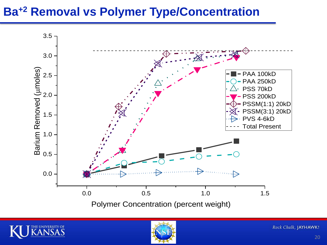#### **Ba+2 Removal vs Polymer Type/Concentration**



Polymer Concentration (percent weight)



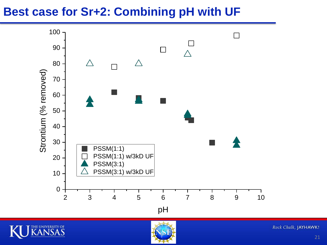#### **Best case for Sr+2: Combining pH with UF**

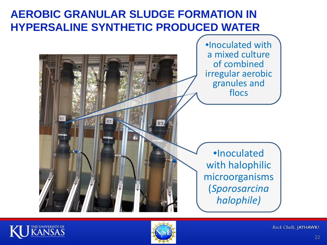#### **AEROBIC GRANULAR SLUDGE FORMATION IN HYPERSALINE SYNTHETIC PRODUCED WATER**





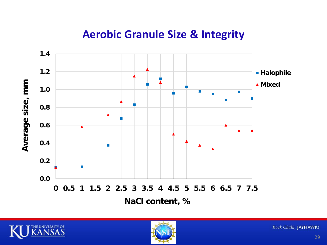#### **Aerobic Granule Size & Integrity**





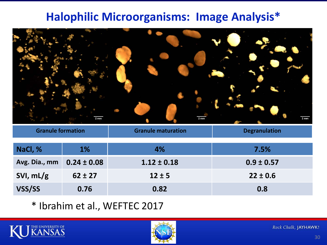#### **Halophilic Microorganisms: Image Analysis\***



| <b>Granule formation</b> |                 | <b>Granule maturation</b> | <b>Degranulation</b> |
|--------------------------|-----------------|---------------------------|----------------------|
| NaCl, %                  | $1\%$           | 4%                        | 7.5%                 |
| Avg. Dia., mm            | $0.24 \pm 0.08$ | $1.12 \pm 0.18$           | $0.9 \pm 0.57$       |
| SVI, mL/g                | $62 \pm 27$     | $12 \pm 5$                | $22 \pm 0.6$         |
| VSS/SS                   | 0.76            | 0.82                      | 0.8                  |

\* Ibrahim et al., WEFTEC 2017



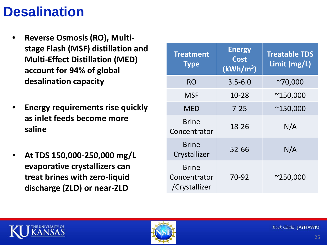## **Desalination**

- **Reverse Osmosis (RO), Multistage Flash (MSF) distillation and Multi-Effect Distillation (MED) account for 94% of global desalination capacity**
- **Energy requirements rise quickly as inlet feeds become more saline**
- **At TDS 150,000-250,000 mg/L evaporative crystallizers can treat brines with zero-liquid discharge (ZLD) or near-ZLD**

| <b>Treatment</b><br><b>Type</b>               | <b>Energy</b><br><b>Cost</b><br>(kWh/m <sup>3</sup> ) | <b>Treatable TDS</b><br>Limit (mg/L) |
|-----------------------------------------------|-------------------------------------------------------|--------------------------------------|
| <b>RO</b>                                     | $3.5 - 6.0$                                           | $^{\sim}70,000$                      |
| <b>MSF</b>                                    | 10-28                                                 | $^{\sim}$ 150,000                    |
| MED                                           | $7 - 25$                                              | $^{\sim}$ 150,000                    |
| <b>Brine</b><br>Concentrator                  | 18-26                                                 | N/A                                  |
| <b>Brine</b><br>Crystallizer                  | $52 - 66$                                             | N/A                                  |
| <b>Brine</b><br>Concentrator<br>/Crystallizer | 70-92                                                 | $^{\sim}$ 250,000                    |



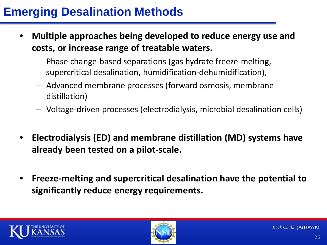### **Emerging Desalination Methods**

- **Multiple approaches being developed to reduce energy use and costs, or increase range of treatable waters.** 
	- Phase change-based separations (gas hydrate freeze-melting, supercritical desalination, humidification-dehumidification),
	- Advanced membrane processes (forward osmosis, membrane distillation)
	- Voltage-driven processes (electrodialysis, microbial desalination cells)
- **Electrodialysis (ED) and membrane distillation (MD) systems have already been tested on a pilot-scale.**
- **Freeze-melting and supercritical desalination have the potential to significantly reduce energy requirements.**



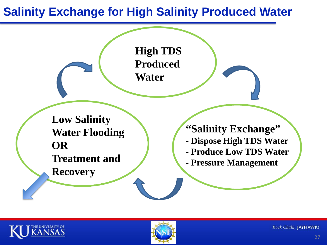#### **Salinity Exchange for High Salinity Produced Water**





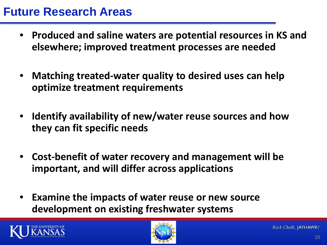#### **Future Research Areas**

- **Produced and saline waters are potential resources in KS and elsewhere; improved treatment processes are needed**
- **Matching treated-water quality to desired uses can help optimize treatment requirements**
- **Identify availability of new/water reuse sources and how they can fit specific needs**
- **Cost-benefit of water recovery and management will be important, and will differ across applications**
- **Examine the impacts of water reuse or new source development on existing freshwater systems**